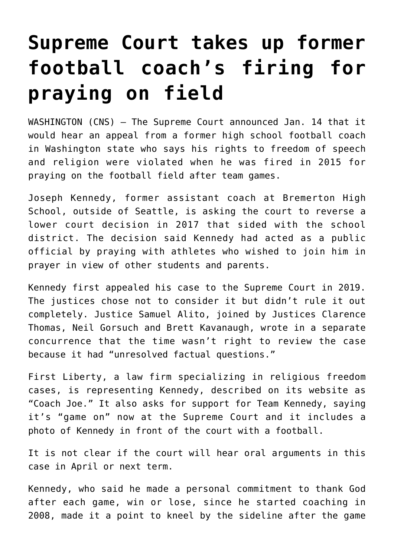## **[Supreme Court takes up former](https://www.osvnews.com/2022/01/19/supreme-court-takes-up-former-football-coachs-firing-for-praying-on-field/) [football coach's firing for](https://www.osvnews.com/2022/01/19/supreme-court-takes-up-former-football-coachs-firing-for-praying-on-field/) [praying on field](https://www.osvnews.com/2022/01/19/supreme-court-takes-up-former-football-coachs-firing-for-praying-on-field/)**

WASHINGTON (CNS) — The Supreme Court announced Jan. 14 that it would hear an appeal from a former high school football coach in Washington state who says his rights to freedom of speech and religion were violated when he was fired in 2015 for praying on the football field after team games.

Joseph Kennedy, former assistant coach at Bremerton High School, outside of Seattle, is asking the court to reverse a lower court decision in 2017 that sided with the school district. The decision said Kennedy had acted as a public official by praying with athletes who wished to join him in prayer in view of other students and parents.

Kennedy first appealed his case to the Supreme Court in 2019. The justices chose not to consider it but didn't rule it out completely. Justice Samuel Alito, joined by Justices Clarence Thomas, Neil Gorsuch and Brett Kavanaugh, wrote in a separate concurrence that the time wasn't right to review the case because it had "unresolved factual questions."

First Liberty, a law firm specializing in religious freedom cases, is representing Kennedy, described on its website as "Coach Joe." It also asks for support for Team Kennedy, saying it's "game on" now at the Supreme Court and it includes a photo of Kennedy in front of the court with a football.

It is not clear if the court will hear oral arguments in this case in April or next term.

Kennedy, who said he made a personal commitment to thank God after each game, win or lose, since he started coaching in 2008, made it a point to kneel by the sideline after the game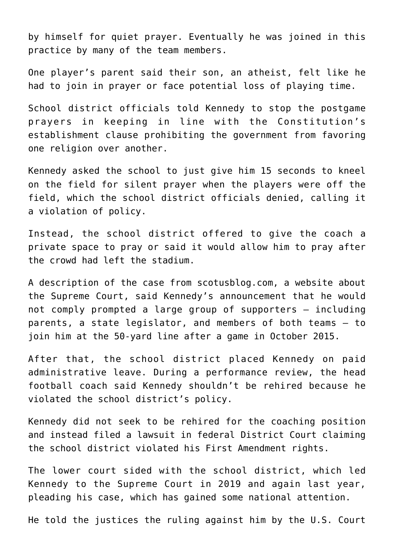by himself for quiet prayer. Eventually he was joined in this practice by many of the team members.

One player's parent said their son, an atheist, felt like he had to join in prayer or face potential loss of playing time.

School district officials told Kennedy to stop the postgame prayers in keeping in line with the Constitution's establishment clause prohibiting the government from favoring one religion over another.

Kennedy asked the school to just give him 15 seconds to kneel on the field for silent prayer when the players were off the field, which the school district officials denied, calling it a violation of policy.

Instead, the school district offered to give the coach a private space to pray or said it would allow him to pray after the crowd had left the stadium.

A description of the case from scotusblog.com, a website about the Supreme Court, said Kennedy's announcement that he would not comply prompted a large group of supporters — including parents, a state legislator, and members of both teams — to join him at the 50-yard line after a game in October 2015.

After that, the school district placed Kennedy on paid administrative leave. During a performance review, the head football coach said Kennedy shouldn't be rehired because he violated the school district's policy.

Kennedy did not seek to be rehired for the coaching position and instead filed a lawsuit in federal District Court claiming the school district violated his First Amendment rights.

The lower court sided with the school district, which led Kennedy to the Supreme Court in 2019 and again last year, pleading his case, which has gained some national attention.

He told the justices the ruling against him by the U.S. Court